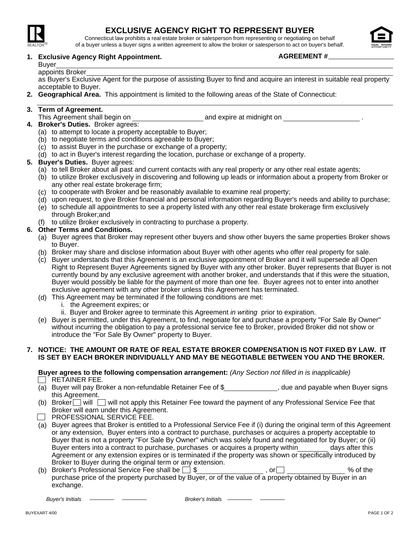

## **EXCLUSIVE AGENCY RIGHT TO REPRESENT BUYER**

Connecticut law prohibits a real estate broker or salesperson from representing or negotiating on behalf of a buyer unless a buyer signs a written agreement to allow the broker or salesperson to act on buyer's behalf.

### **Exclusive Agency Right Appointment. 1.**

# Buyer

appoints Broker

as Buyer's Exclusive Agent for the purpose of assisting Buyer to find and acquire an interest in suitable real property acceptable to Buyer.

**Geographical Area.** This appointment is limited to the following areas of the State of Connecticut: **2.**

### **Term of Agreement. 3.**

- This Agreement shall begin on and expire at midnight on .
- **Broker's Duties.** Broker agrees: **4.**
	- (a) to attempt to locate a property acceptable to Buyer;
	- (b) to negotiate terms and conditions agreeable to Buyer;
	- (c) to assist Buyer in the purchase or exchange of a property;
	- (d) to act in Buyer's interest regarding the location, purchase or exchange of a property.
- **Buyer's Duties.** Buyer agrees: **5.**
	- (a) to tell Broker about all past and current contacts with any real property or any other real estate agents;
	- (b) to utilize Broker exclusively in discovering and following up leads or information about a property from Broker or any other real estate brokerage firm;
	- (c) to cooperate with Broker and be reasonably available to examine real property;
	- (d) upon request, to give Broker financial and personal information regarding Buyer's needs and ability to purchase;
	- (e) to schedule all appointments to see a property listed with any other real estate brokerage firm exclusively through Broker;and
	- (f) to utilize Broker exclusively in contracting to purchase a property.

### **Other Terms and Conditions. 6.**

- (a) Buyer agrees that Broker may represent other buyers and show other buyers the same properties Broker shows to Buyer.
- (b) Broker may share and disclose information about Buyer with other agents who offer real property for sale.
- (c) Buyer understands that this Agreement is an exclusive appointment of Broker and it will supersede all Open Right to Represent Buyer Agreements signed by Buyer with any other broker. Buyer represents that Buyer is not currently bound by any exclusive agreement with another broker, and understands that if this were the situation, Buyer would possibly be liable for the payment of more than one fee. Buyer agrees not to enter into another exclusive agreement with any other broker unless this Agreement has terminated.
- (d) This Agreement may be terminated if the following conditions are met:
	- i. the Agreement expires; or
	- ii. Buyer and Broker agree to terminate this Agreement *in writing* prior to expiration.
- (e) Buyer is permitted, under this Agreement, to find, negotiate for and purchase a property "For Sale By Owner" without incurring the obligation to pay a professional service fee to Broker, provided Broker did not show or introduce the "For Sale By Owner" property to Buyer.

#### **NOTICE: THE AMOUNT OR RATE OF REAL ESTATE BROKER COMPENSATION IS NOT FIXED BY LAW. IT 7. IS SET BY EACH BROKER INDIVIDUALLY AND MAY BE NEGOTIABLE BETWEEN YOU AND THE BROKER.**

#### **Buyer agrees to the following compensation arrangement:** *(Any Section not filled in is inapplicable)*  $\Box$  RETAINER FEE.

- (a) Buyer will pay Broker a non-refundable Retainer Fee of \$\_\_\_\_\_\_\_\_\_\_\_\_\_\_, due and payable when Buyer signs this Agreement.
- (b) Broker will swill not apply this Retainer Fee toward the payment of any Professional Service Fee that Broker will earn under this Agreement.
- **PROFESSIONAL SERVICE FEE.**
- (a) Buyer agrees that Broker is entitled to a Professional Service Fee if (i) during the original term of this Agreement or any extension, Buyer enters into a contract to purchase, purchases or acquires a property acceptable to Buyer that is not a property "For Sale By Owner" which was solely found and negotiated for by Buyer; or (ii) Buyer enters into a contract to purchase, purchases or acquires a property within days after this Agreement or any extension expires or is terminated if the property was shown or specifically introduced by Broker to Buyer during the original term or any extension.
- (b) Broker's Professional Service Fee shall be  $\square$   $\$$  , or  $\square$  , or  $\square$  . We of the purchase price of the property purchased by Buyer, or of the value of a property obtained by Buyer in an exchange.

**Buyer's Initials** *Buyer's Initials* **Broker's Initials** 



**AGREEMENT #**